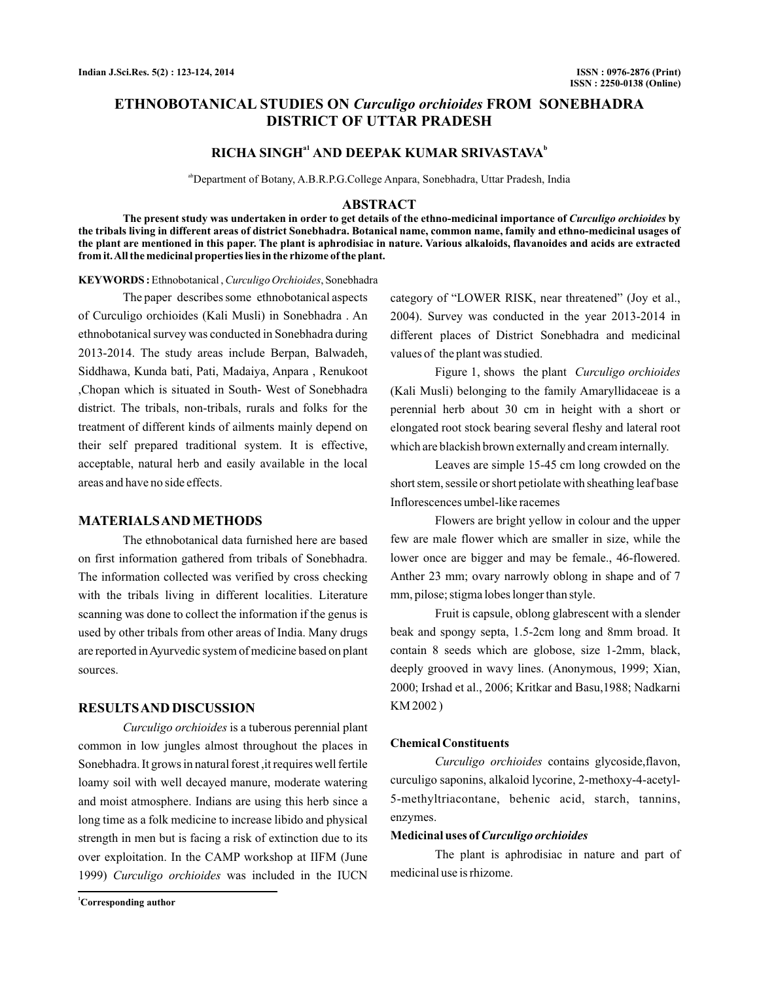## **ETHNOBOTANICAL STUDIES ON Curculigo orchioides FROM SONEBHADRA DISTRICT OF UTTAR PRADESH**

# $RICHA$  SINGH<sup>a1</sup> AND DEEPAK KUMAR SRIVASTAVA<sup>b</sup>

abDepartment of Botany, A.B.R.P.G.College Anpara, Sonebhadra, Uttar Pradesh, India

### **ABSTRACT**

The present study was undertaken in order to get details of the ethno-medicinal importance of *Curculigo orchioides* by **the tribals living in different areas of district Sonebhadra. Botanical name, common name, family and ethno-medicinal usages of the plant are mentioned in this paper. The plant is aphrodisiac in nature. Various alkaloids, flavanoides and acids are extracted from it.All the medicinal properties lies in the rhizome of the plant.**

KEYWORDS: Ethnobotanical, Curculigo Orchioides, Sonebhadra

The paper describes some ethnobotanical aspects of Curculigo orchioides (Kali Musli) in Sonebhadra . An ethnobotanical survey was conducted in Sonebhadra during 2013-2014. The study areas include Berpan, Balwadeh, Siddhawa, Kunda bati, Pati, Madaiya, Anpara , Renukoot ,Chopan which is situated in South- West of Sonebhadra district. The tribals, non-tribals, rurals and folks for the treatment of different kinds of ailments mainly depend on their self prepared traditional system. It is effective, acceptable, natural herb and easily available in the local areas and have no side effects.

### **MATERIALSAND METHODS**

The ethnobotanical data furnished here are based on first information gathered from tribals of Sonebhadra. The information collected was verified by cross checking with the tribals living in different localities. Literature scanning was done to collect the information if the genus is used by other tribals from other areas of India. Many drugs are reported inAyurvedic system of medicine based on plant sources.

## **RESULTSAND DISCUSSION**

Curculigo orchioides is a tuberous perennial plant common in low jungles almost throughout the places in Sonebhadra. It grows in natural forest ,it requires well fertile loamy soil with well decayed manure, moderate watering and moist atmosphere. Indians are using this herb since a long time as a folk medicine to increase libido and physical strength in men but is facing a risk of extinction due to its over exploitation. In the CAMP workshop at IIFM (June 1999) Curculigo orchioides was included in the IUCN

category of "LOWER RISK, near threatened" (Joy et al., 2004). Survey was conducted in the year 2013-2014 in different places of District Sonebhadra and medicinal values of the plant was studied.

Figure 1, shows the plant *Curculigo orchioides* (Kali Musli) belonging to the family Amaryllidaceae is a perennial herb about 30 cm in height with a short or elongated root stock bearing several fleshy and lateral root which are blackish brown externally and cream internally.

Leaves are simple 15-45 cm long crowded on the short stem, sessile or short petiolate with sheathing leaf base Inflorescences umbel-like racemes

Flowers are bright yellow in colour and the upper few are male flower which are smaller in size, while the lower once are bigger and may be female., 46-flowered. Anther 23 mm; ovary narrowly oblong in shape and of 7 mm, pilose; stigma lobes longer than style.

Fruit is capsule, oblong glabrescent with a slender beak and spongy septa, 1.5-2cm long and 8mm broad. It contain 8 seeds which are globose, size 1-2mm, black, deeply grooved in wavy lines. (Anonymous, 1999; Xian, 2000; Irshad et al., 2006; Kritkar and Basu,1988; Nadkarni KM 2002 )

#### **Chemical Constituents**

Curculigo orchioides contains glycoside, flavon, curculigo saponins, alkaloid lycorine, 2-methoxy-4-acetyl-5-methyltriacontane, behenic acid, starch, tannins, enzymes.

#### **Medicinal uses of***Curculigo orchioides*

The plant is aphrodisiac in nature and part of medicinal use is rhizome.